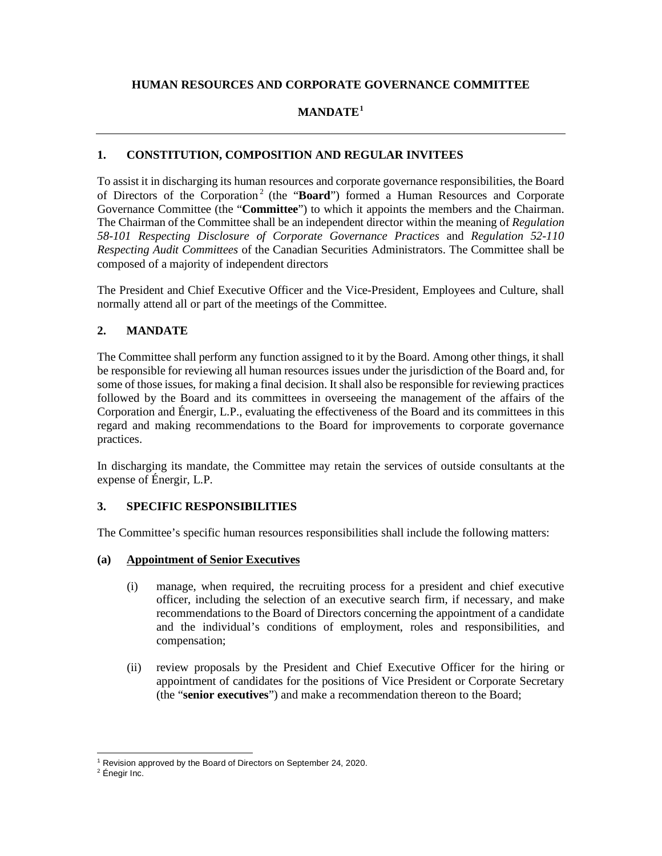# **HUMAN RESOURCES AND CORPORATE GOVERNANCE COMMITTEE**

# **MANDATE[1](#page-0-0)**

# **1. CONSTITUTION, COMPOSITION AND REGULAR INVITEES**

To assist it in discharging its human resources and corporate governance responsibilities, the Board of Directors of the Corporation<sup>[2](#page-0-1)</sup> (the "**Board**") formed a Human Resources and Corporate Governance Committee (the "**Committee**") to which it appoints the members and the Chairman. The Chairman of the Committee shall be an independent director within the meaning of *Regulation 58-101 Respecting Disclosure of Corporate Governance Practices* and *Regulation 52-110 Respecting Audit Committees* of the Canadian Securities Administrators. The Committee shall be composed of a majority of independent directors

The President and Chief Executive Officer and the Vice-President, Employees and Culture, shall normally attend all or part of the meetings of the Committee.

# **2. MANDATE**

The Committee shall perform any function assigned to it by the Board. Among other things, it shall be responsible for reviewing all human resources issues under the jurisdiction of the Board and, for some of those issues, for making a final decision. It shall also be responsible for reviewing practices followed by the Board and its committees in overseeing the management of the affairs of the Corporation and Énergir, L.P., evaluating the effectiveness of the Board and its committees in this regard and making recommendations to the Board for improvements to corporate governance practices.

In discharging its mandate, the Committee may retain the services of outside consultants at the expense of Énergir, L.P.

## **3. SPECIFIC RESPONSIBILITIES**

The Committee's specific human resources responsibilities shall include the following matters:

## **(a) Appointment of Senior Executives**

- (i) manage, when required, the recruiting process for a president and chief executive officer, including the selection of an executive search firm, if necessary, and make recommendations to the Board of Directors concerning the appointment of a candidate and the individual's conditions of employment, roles and responsibilities, and compensation;
- (ii) review proposals by the President and Chief Executive Officer for the hiring or appointment of candidates for the positions of Vice President or Corporate Secretary (the "**senior executives**") and make a recommendation thereon to the Board;

<span id="page-0-0"></span> $1$  Revision approved by the Board of Directors on September 24, 2020.

<span id="page-0-1"></span><sup>2</sup> Énegir Inc.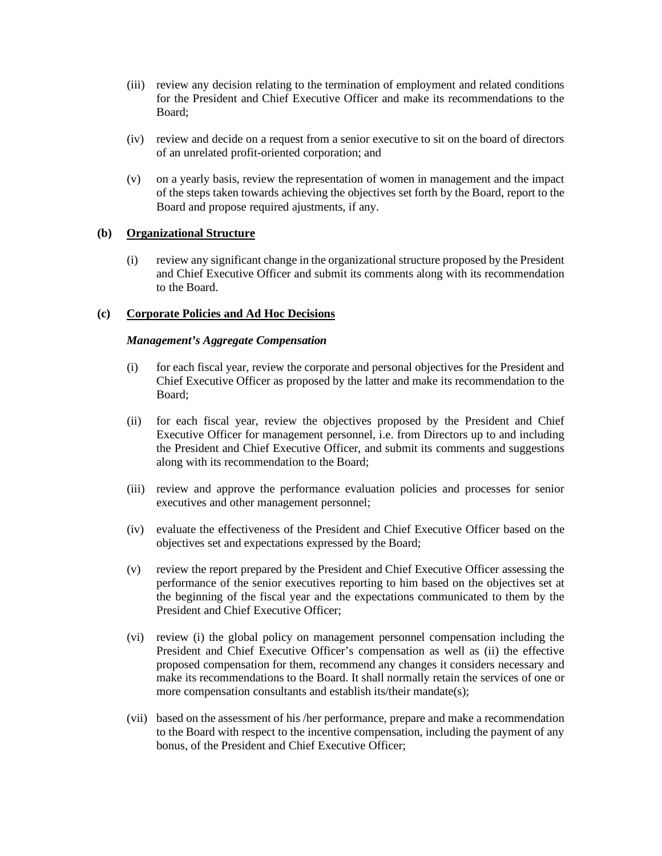- (iii) review any decision relating to the termination of employment and related conditions for the President and Chief Executive Officer and make its recommendations to the Board;
- (iv) review and decide on a request from a senior executive to sit on the board of directors of an unrelated profit-oriented corporation; and
- (v) on a yearly basis, review the representation of women in management and the impact of the steps taken towards achieving the objectives set forth by the Board, report to the Board and propose required ajustments, if any.

### **(b) Organizational Structure**

(i) review any significant change in the organizational structure proposed by the President and Chief Executive Officer and submit its comments along with its recommendation to the Board.

### **(c) Corporate Policies and Ad Hoc Decisions**

#### *Management's Aggregate Compensation*

- (i) for each fiscal year, review the corporate and personal objectives for the President and Chief Executive Officer as proposed by the latter and make its recommendation to the Board;
- (ii) for each fiscal year, review the objectives proposed by the President and Chief Executive Officer for management personnel, i.e. from Directors up to and including the President and Chief Executive Officer, and submit its comments and suggestions along with its recommendation to the Board;
- (iii) review and approve the performance evaluation policies and processes for senior executives and other management personnel;
- (iv) evaluate the effectiveness of the President and Chief Executive Officer based on the objectives set and expectations expressed by the Board;
- (v) review the report prepared by the President and Chief Executive Officer assessing the performance of the senior executives reporting to him based on the objectives set at the beginning of the fiscal year and the expectations communicated to them by the President and Chief Executive Officer;
- (vi) review (i) the global policy on management personnel compensation including the President and Chief Executive Officer's compensation as well as (ii) the effective proposed compensation for them, recommend any changes it considers necessary and make its recommendations to the Board. It shall normally retain the services of one or more compensation consultants and establish its/their mandate(s);
- (vii) based on the assessment of his /her performance, prepare and make a recommendation to the Board with respect to the incentive compensation, including the payment of any bonus, of the President and Chief Executive Officer;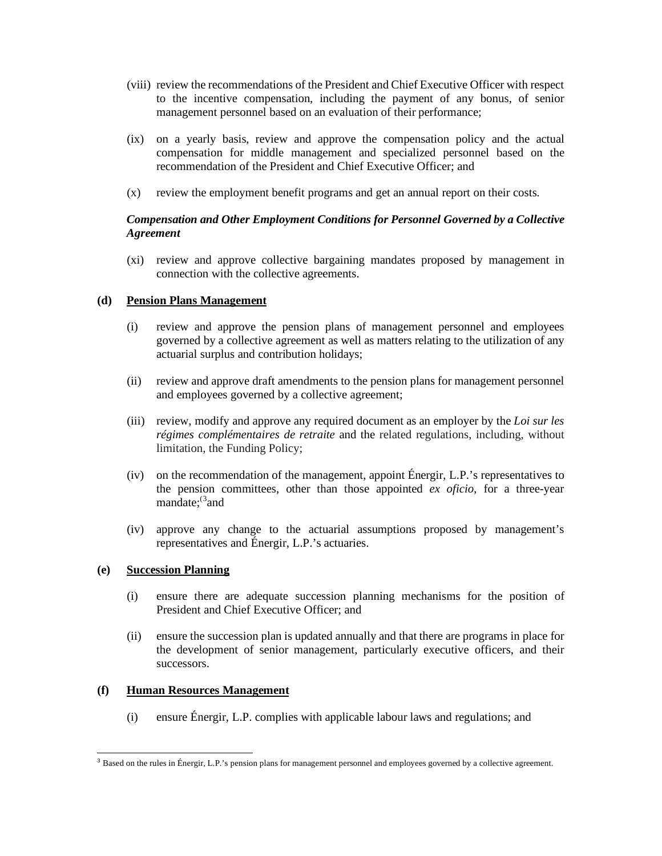- (viii) review the recommendations of the President and Chief Executive Officer with respect to the incentive compensation, including the payment of any bonus, of senior management personnel based on an evaluation of their performance;
- (ix) on a yearly basis, review and approve the compensation policy and the actual compensation for middle management and specialized personnel based on the recommendation of the President and Chief Executive Officer; and
- (x) review the employment benefit programs and get an annual report on their costs.

## *Compensation and Other Employment Conditions for Personnel Governed by a Collective Agreement*

(xi) review and approve collective bargaining mandates proposed by management in connection with the collective agreements.

### **(d) Pension Plans Management**

- (i) review and approve the pension plans of management personnel and employees governed by a collective agreement as well as matters relating to the utilization of any actuarial surplus and contribution holidays;
- (ii) review and approve draft amendments to the pension plans for management personnel and employees governed by a collective agreement;
- (iii) review, modify and approve any required document as an employer by the *Loi sur les régimes complémentaires de retraite* and the related regulations, including, without limitation, the Funding Policy;
- (iv) on the recommendation of the management, appoint Énergir, L.P.'s representatives to the pension committees, other than those appointed *ex oficio*, for a three-year mandate;<sup>([3](#page-2-0)</sup>and
- (iv) approve any change to the actuarial assumptions proposed by management's representatives and Énergir, L.P.'s actuaries.

## **(e) Succession Planning**

- (i) ensure there are adequate succession planning mechanisms for the position of President and Chief Executive Officer; and
- (ii) ensure the succession plan is updated annually and that there are programs in place for the development of senior management, particularly executive officers, and their successors.

#### **(f) Human Resources Management**

(i) ensure Énergir, L.P. complies with applicable labour laws and regulations; and

<span id="page-2-0"></span> $3$  Based on the rules in Énergir, L.P.'s pension plans for management personnel and employees governed by a collective agreement.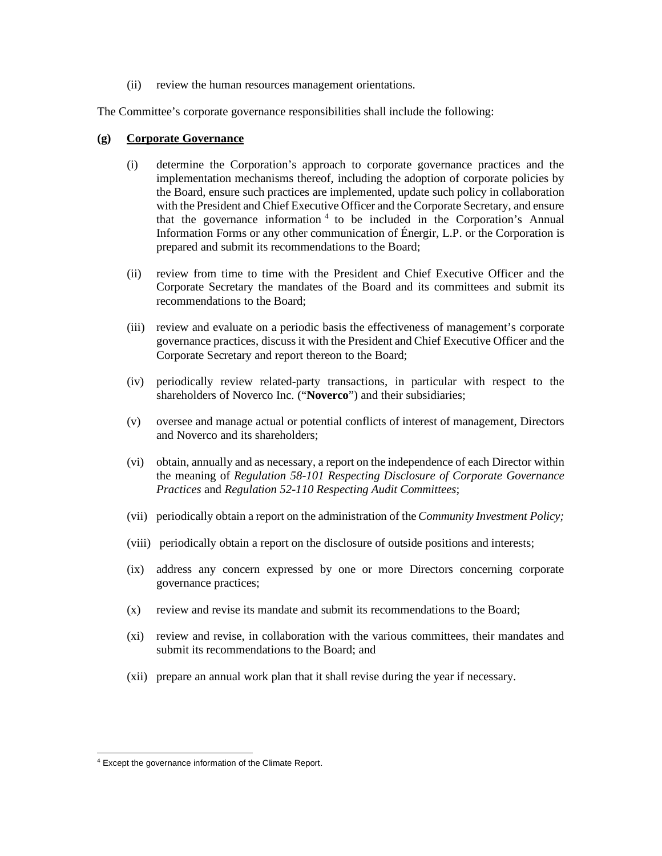(ii) review the human resources management orientations.

The Committee's corporate governance responsibilities shall include the following:

#### **(g) Corporate Governance**

- (i) determine the Corporation's approach to corporate governance practices and the implementation mechanisms thereof, including the adoption of corporate policies by the Board, ensure such practices are implemented, update such policy in collaboration with the President and Chief Executive Officer and the Corporate Secretary, and ensure that the governance information  $4$  to be included in the Corporation's Annual Information Forms or any other communication of Énergir, L.P. or the Corporation is prepared and submit its recommendations to the Board;
- (ii) review from time to time with the President and Chief Executive Officer and the Corporate Secretary the mandates of the Board and its committees and submit its recommendations to the Board;
- (iii) review and evaluate on a periodic basis the effectiveness of management's corporate governance practices, discuss it with the President and Chief Executive Officer and the Corporate Secretary and report thereon to the Board;
- (iv) periodically review related-party transactions, in particular with respect to the shareholders of Noverco Inc. ("**Noverco**") and their subsidiaries;
- (v) oversee and manage actual or potential conflicts of interest of management, Directors and Noverco and its shareholders;
- (vi) obtain, annually and as necessary, a report on the independence of each Director within the meaning of *Regulation 58-101 Respecting Disclosure of Corporate Governance Practices* and *Regulation 52-110 Respecting Audit Committees*;
- (vii) periodically obtain a report on the administration of the*Community Investment Policy;*
- (viii) periodically obtain a report on the disclosure of outside positions and interests;
- (ix) address any concern expressed by one or more Directors concerning corporate governance practices;
- (x) review and revise its mandate and submit its recommendations to the Board;
- (xi) review and revise, in collaboration with the various committees, their mandates and submit its recommendations to the Board; and
- (xii) prepare an annual work plan that it shall revise during the year if necessary.

<span id="page-3-0"></span><sup>4</sup> Except the governance information of the Climate Report.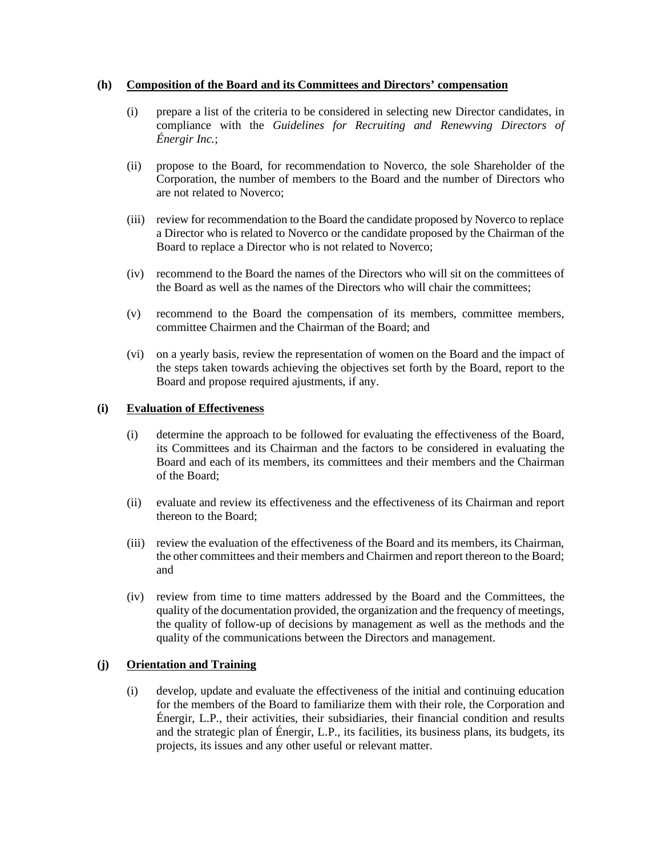### **(h) Composition of the Board and its Committees and Directors' compensation**

- (i) prepare a list of the criteria to be considered in selecting new Director candidates, in compliance with the *Guidelines for Recruiting and Renewving Directors of Énergir Inc.*;
- (ii) propose to the Board, for recommendation to Noverco, the sole Shareholder of the Corporation, the number of members to the Board and the number of Directors who are not related to Noverco;
- (iii) review for recommendation to the Board the candidate proposed by Noverco to replace a Director who is related to Noverco or the candidate proposed by the Chairman of the Board to replace a Director who is not related to Noverco;
- (iv) recommend to the Board the names of the Directors who will sit on the committees of the Board as well as the names of the Directors who will chair the committees;
- (v) recommend to the Board the compensation of its members, committee members, committee Chairmen and the Chairman of the Board; and
- (vi) on a yearly basis, review the representation of women on the Board and the impact of the steps taken towards achieving the objectives set forth by the Board, report to the Board and propose required ajustments, if any.

### **(i) Evaluation of Effectiveness**

- (i) determine the approach to be followed for evaluating the effectiveness of the Board, its Committees and its Chairman and the factors to be considered in evaluating the Board and each of its members, its committees and their members and the Chairman of the Board;
- (ii) evaluate and review its effectiveness and the effectiveness of its Chairman and report thereon to the Board;
- (iii) review the evaluation of the effectiveness of the Board and its members, its Chairman, the other committees and their members and Chairmen and report thereon to the Board; and
- (iv) review from time to time matters addressed by the Board and the Committees, the quality of the documentation provided, the organization and the frequency of meetings, the quality of follow-up of decisions by management as well as the methods and the quality of the communications between the Directors and management.

## **(j) Orientation and Training**

(i) develop, update and evaluate the effectiveness of the initial and continuing education for the members of the Board to familiarize them with their role, the Corporation and Énergir, L.P., their activities, their subsidiaries, their financial condition and results and the strategic plan of Énergir, L.P., its facilities, its business plans, its budgets, its projects, its issues and any other useful or relevant matter.